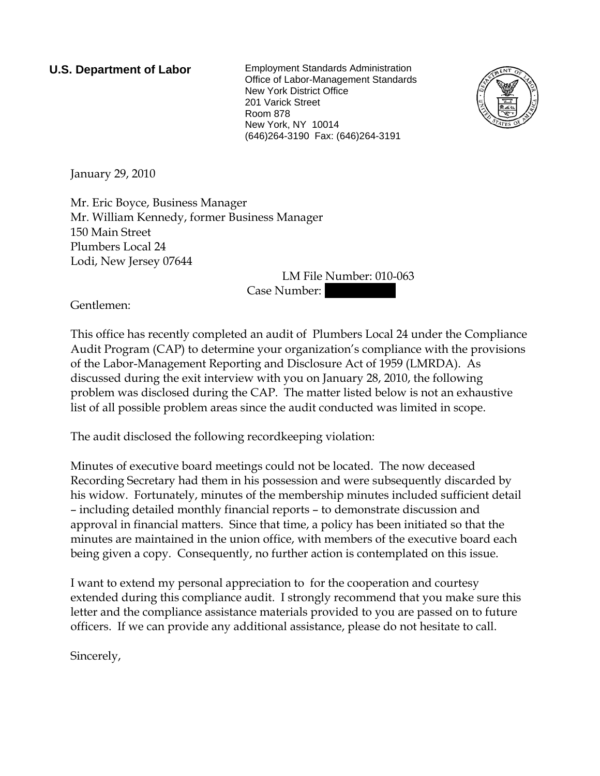**U.S. Department of Labor** Employment Standards Administration Office of Labor-Management Standards New York District Office 201 Varick Street Room 878 New York, NY 10014 (646)264-3190 Fax: (646)264-3191



January 29, 2010

Mr. Eric Boyce, Business Manager Mr. William Kennedy, former Business Manager 150 Main Street Plumbers Local 24 Lodi, New Jersey 07644

LM File Number: 010-063 Case Number:

Gentlemen:

This office has recently completed an audit of Plumbers Local 24 under the Compliance Audit Program (CAP) to determine your organization's compliance with the provisions of the Labor-Management Reporting and Disclosure Act of 1959 (LMRDA). As discussed during the exit interview with you on January 28, 2010, the following problem was disclosed during the CAP. The matter listed below is not an exhaustive list of all possible problem areas since the audit conducted was limited in scope.

The audit disclosed the following recordkeeping violation:

Minutes of executive board meetings could not be located. The now deceased Recording Secretary had them in his possession and were subsequently discarded by his widow. Fortunately, minutes of the membership minutes included sufficient detail – including detailed monthly financial reports – to demonstrate discussion and approval in financial matters. Since that time, a policy has been initiated so that the minutes are maintained in the union office, with members of the executive board each being given a copy. Consequently, no further action is contemplated on this issue.

I want to extend my personal appreciation to for the cooperation and courtesy extended during this compliance audit. I strongly recommend that you make sure this letter and the compliance assistance materials provided to you are passed on to future officers. If we can provide any additional assistance, please do not hesitate to call.

Sincerely,